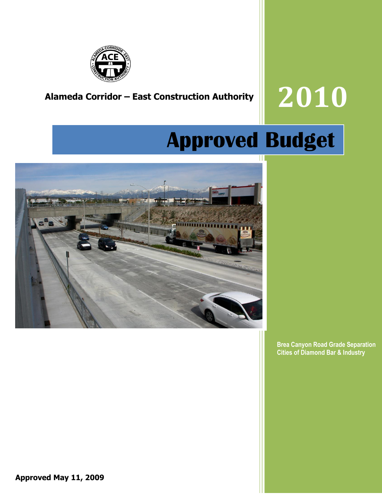

# **Alameda Corridor – East Construction Authority 2010**

# **Approved Budget**



**Brea Canyon Road Grade Separation Cities of Diamond Bar & Industry**

**Approved May 11, 2009**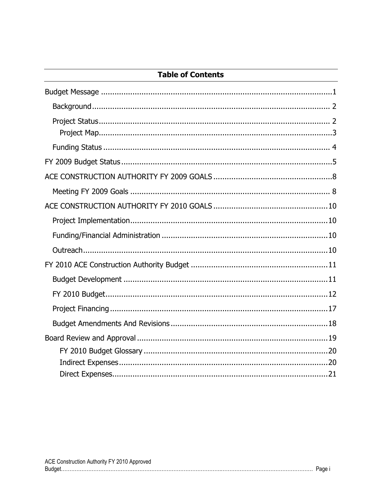# **Table of Contents**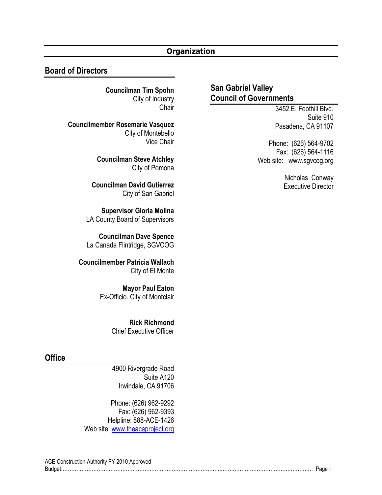## **Organization**

#### **Board of Directors**

**Councilman Tim Spohn** City of Industry **Chair** 

**Councilmember Rosemarie Vasquez** City of Montebello Vice Chair

> **Councilman Steve Atchley** City of Pomona

**Councilman David Gutierrez** City of San Gabriel

**Supervisor Gloria Molina** LA County Board of Supervisors

**Councilman Dave Spence** La Canada Flintridge, SGVCOG

**Councilmember Patricia Wallach** City of El Monte

> **Mayor Paul Eaton** Ex-Officio. City of Montclair

> > **Rick Richmond** Chief Executive Officer

#### **Office**

4900 Rivergrade Road Suite A120 Irwindale, CA 91706

Phone: (626) 962-9292 Fax: (626) 962-9393 Helpline: 888-ACE-1426 Web site: [www.theaceproject.org](http://www.theaceproject.org/)

# **San Gabriel Valley Council of Governments**

3452 E. Foothill Blvd. Suite 910 Pasadena, CA 91107

Phone: (626) 564-9702 Fax: (626) 564-1116 Web site: www.sgvcog.org

> Nicholas Conway Executive Director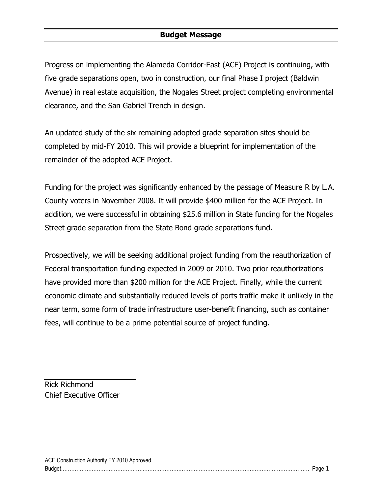### **Budget Message**

Progress on implementing the Alameda Corridor-East (ACE) Project is continuing, with five grade separations open, two in construction, our final Phase I project (Baldwin Avenue) in real estate acquisition, the Nogales Street project completing environmental clearance, and the San Gabriel Trench in design.

An updated study of the six remaining adopted grade separation sites should be completed by mid-FY 2010. This will provide a blueprint for implementation of the remainder of the adopted ACE Project.

Funding for the project was significantly enhanced by the passage of Measure R by L.A. County voters in November 2008. It will provide \$400 million for the ACE Project. In addition, we were successful in obtaining \$25.6 million in State funding for the Nogales Street grade separation from the State Bond grade separations fund.

Prospectively, we will be seeking additional project funding from the reauthorization of Federal transportation funding expected in 2009 or 2010. Two prior reauthorizations have provided more than \$200 million for the ACE Project. Finally, while the current economic climate and substantially reduced levels of ports traffic make it unlikely in the near term, some form of trade infrastructure user-benefit financing, such as container fees, will continue to be a prime potential source of project funding.

Rick Richmond Chief Executive Officer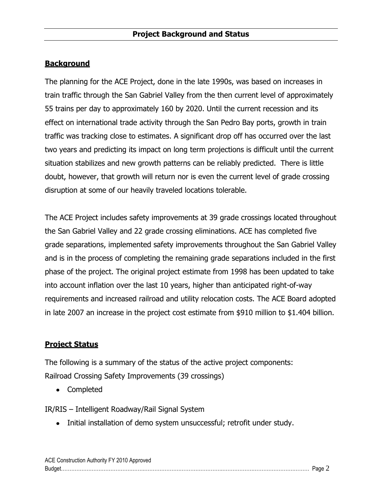# **Background**

The planning for the ACE Project, done in the late 1990s, was based on increases in train traffic through the San Gabriel Valley from the then current level of approximately 55 trains per day to approximately 160 by 2020. Until the current recession and its effect on international trade activity through the San Pedro Bay ports, growth in train traffic was tracking close to estimates. A significant drop off has occurred over the last two years and predicting its impact on long term projections is difficult until the current situation stabilizes and new growth patterns can be reliably predicted. There is little doubt, however, that growth will return nor is even the current level of grade crossing disruption at some of our heavily traveled locations tolerable.

The ACE Project includes safety improvements at 39 grade crossings located throughout the San Gabriel Valley and 22 grade crossing eliminations. ACE has completed five grade separations, implemented safety improvements throughout the San Gabriel Valley and is in the process of completing the remaining grade separations included in the first phase of the project. The original project estimate from 1998 has been updated to take into account inflation over the last 10 years, higher than anticipated right-of-way requirements and increased railroad and utility relocation costs. The ACE Board adopted in late 2007 an increase in the project cost estimate from \$910 million to \$1.404 billion.

#### **Project Status**

The following is a summary of the status of the active project components: Railroad Crossing Safety Improvements (39 crossings)

Completed

IR/RIS – Intelligent Roadway/Rail Signal System

• Initial installation of demo system unsuccessful; retrofit under study.

| ACE Construction Authority FY 2010 Approved |  |
|---------------------------------------------|--|
|                                             |  |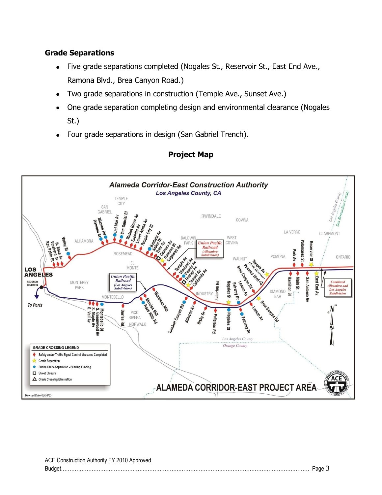# **Grade Separations**

- Five grade separations completed (Nogales St., Reservoir St., East End Ave.,  $\bullet$ Ramona Blvd., Brea Canyon Road.)
- Two grade separations in construction (Temple Ave., Sunset Ave.)
- One grade separation completing design and environmental clearance (Nogales St.)
- Four grade separations in design (San Gabriel Trench).



# **Project Map**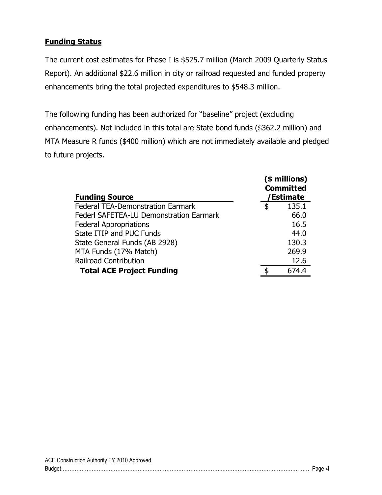# **Funding Status**

The current cost estimates for Phase I is \$525.7 million (March 2009 Quarterly Status Report). An additional \$22.6 million in city or railroad requested and funded property enhancements bring the total projected expenditures to \$548.3 million.

The following funding has been authorized for "baseline" project (excluding enhancements). Not included in this total are State bond funds (\$362.2 million) and MTA Measure R funds (\$400 million) which are not immediately available and pledged to future projects.

| <b>Funding Source</b>                          | (\$ millions)<br><b>Committed</b><br>/Estimate |
|------------------------------------------------|------------------------------------------------|
| <b>Federal TEA-Demonstration Earmark</b>       | \$<br>135.1                                    |
| <b>Federl SAFETEA-LU Demonstration Earmark</b> | 66.0                                           |
| <b>Federal Appropriations</b>                  | 16.5                                           |
| State ITIP and PUC Funds                       | 44.0                                           |
| State General Funds (AB 2928)                  | 130.3                                          |
| MTA Funds (17% Match)                          | 269.9                                          |
| <b>Railroad Contribution</b>                   | 12.6                                           |
| <b>Total ACE Project Funding</b>               | 674.4                                          |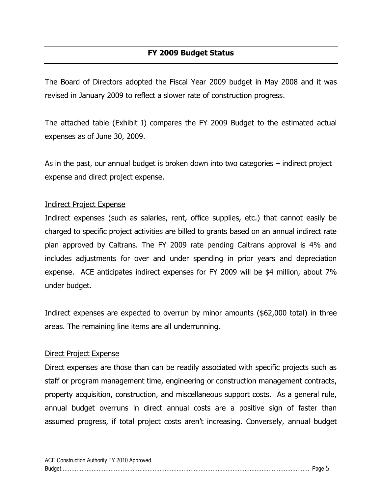The Board of Directors adopted the Fiscal Year 2009 budget in May 2008 and it was revised in January 2009 to reflect a slower rate of construction progress.

The attached table (Exhibit I) compares the FY 2009 Budget to the estimated actual expenses as of June 30, 2009.

As in the past, our annual budget is broken down into two categories – indirect project expense and direct project expense.

#### Indirect Project Expense

Indirect expenses (such as salaries, rent, office supplies, etc.) that cannot easily be charged to specific project activities are billed to grants based on an annual indirect rate plan approved by Caltrans. The FY 2009 rate pending Caltrans approval is 4% and includes adjustments for over and under spending in prior years and depreciation expense. ACE anticipates indirect expenses for FY 2009 will be \$4 million, about 7% under budget.

Indirect expenses are expected to overrun by minor amounts (\$62,000 total) in three areas. The remaining line items are all underrunning.

#### Direct Project Expense

Direct expenses are those than can be readily associated with specific projects such as staff or program management time, engineering or construction management contracts, property acquisition, construction, and miscellaneous support costs. As a general rule, annual budget overruns in direct annual costs are a positive sign of faster than assumed progress, if total project costs aren"t increasing. Conversely, annual budget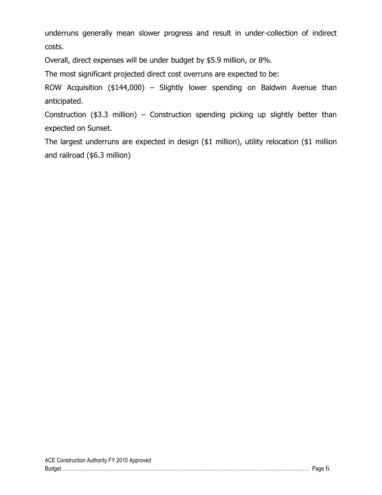underruns generally mean slower progress and result in under-collection of indirect costs.

Overall, direct expenses will be under budget by \$5.9 million, or 8%.

The most significant projected direct cost overruns are expected to be:

ROW Acquisition (\$144,000) – Slightly lower spending on Baldwin Avenue than anticipated.

Construction (\$3.3 million) – Construction spending picking up slightly better than expected on Sunset.

The largest underruns are expected in design (\$1 million), utility relocation (\$1 million and railroad (\$6.3 million)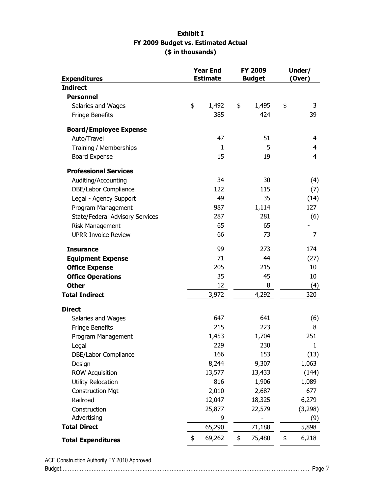#### **Exhibit I FY 2009 Budget vs. Estimated Actual (\$ in thousands)**

| <b>Expenditures</b>             | <b>Year End</b><br><b>FY 2009</b><br><b>Estimate</b><br><b>Budget</b> |        | Under/<br>(Over) |              |
|---------------------------------|-----------------------------------------------------------------------|--------|------------------|--------------|
| <b>Indirect</b>                 |                                                                       |        |                  |              |
| <b>Personnel</b>                |                                                                       |        |                  |              |
| Salaries and Wages              | \$                                                                    | 1,492  | \$<br>1,495      | \$<br>3      |
| Fringe Benefits                 |                                                                       | 385    | 424              | 39           |
| <b>Board/Employee Expense</b>   |                                                                       |        |                  |              |
| Auto/Travel                     |                                                                       | 47     | 51               | 4            |
| Training / Memberships          |                                                                       | 1      | 5                | 4            |
| Board Expense                   |                                                                       | 15     | 19               | 4            |
| <b>Professional Services</b>    |                                                                       |        |                  |              |
| Auditing/Accounting             |                                                                       | 34     | 30               | (4)          |
| DBE/Labor Compliance            |                                                                       | 122    | 115              | (7)          |
| Legal - Agency Support          |                                                                       | 49     | 35               | (14)         |
| Program Management              |                                                                       | 987    | 1,114            | 127          |
| State/Federal Advisory Services |                                                                       | 287    | 281              | (6)          |
| Risk Management                 |                                                                       | 65     | 65               |              |
| <b>UPRR Invoice Review</b>      |                                                                       | 66     | 73               | 7            |
| <b>Insurance</b>                |                                                                       | 99     | 273              | 174          |
| <b>Equipment Expense</b>        |                                                                       | 71     | 44               | (27)         |
| <b>Office Expense</b>           |                                                                       | 205    | 215              | 10           |
| <b>Office Operations</b>        |                                                                       | 35     | 45               | 10           |
| <b>Other</b>                    |                                                                       | 12     | 8                | (4)          |
| <b>Total Indirect</b>           |                                                                       | 3,972  | 4,292            | 320          |
| <b>Direct</b>                   |                                                                       |        |                  |              |
| Salaries and Wages              |                                                                       | 647    | 641              | (6)          |
| Fringe Benefits                 |                                                                       | 215    | 223              | 8            |
| Program Management              |                                                                       | 1,453  | 1,704            | 251          |
| Legal                           |                                                                       | 229    | 230              | $\mathbf{1}$ |
| DBE/Labor Compliance            |                                                                       | 166    | 153              | (13)         |
| Design                          |                                                                       | 8,244  | 9,307            | 1,063        |
| <b>ROW Acquisition</b>          |                                                                       | 13,577 | 13,433           | (144)        |
| <b>Utility Relocation</b>       |                                                                       | 816    | 1,906            | 1,089        |
| <b>Construction Mgt</b>         |                                                                       | 2,010  | 2,687            | 677          |
| Railroad                        |                                                                       | 12,047 | 18,325           | 6,279        |
| Construction                    |                                                                       | 25,877 | 22,579           | (3, 298)     |
| Advertising                     |                                                                       | 9      |                  | (9)          |
| <b>Total Direct</b>             |                                                                       | 65,290 | 71,188           | 5,898        |
| <b>Total Expenditures</b>       | \$                                                                    | 69,262 | \$<br>75,480     | \$<br>6,218  |

ACE Construction Authority FY 2010 Approved Budget………………………………………….……………………………………….…………………………………………… Page 7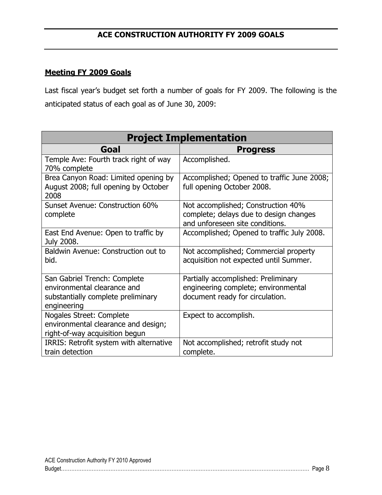# **Meeting FY 2009 Goals**

Last fiscal year"s budget set forth a number of goals for FY 2009. The following is the anticipated status of each goal as of June 30, 2009:

| <b>Project Implementation</b>                                                                                    |                                                                                                                 |  |  |  |
|------------------------------------------------------------------------------------------------------------------|-----------------------------------------------------------------------------------------------------------------|--|--|--|
| Goal                                                                                                             | <b>Progress</b>                                                                                                 |  |  |  |
| Temple Ave: Fourth track right of way<br>70% complete                                                            | Accomplished.                                                                                                   |  |  |  |
| Brea Canyon Road: Limited opening by<br>August 2008; full opening by October<br>2008                             | Accomplished; Opened to traffic June 2008;<br>full opening October 2008.                                        |  |  |  |
| Sunset Avenue: Construction 60%<br>complete                                                                      | Not accomplished; Construction 40%<br>complete; delays due to design changes<br>and unforeseen site conditions. |  |  |  |
| East End Avenue: Open to traffic by<br>July 2008.                                                                | Accomplished; Opened to traffic July 2008.                                                                      |  |  |  |
| Baldwin Avenue: Construction out to<br>bid.                                                                      | Not accomplished; Commercial property<br>acquisition not expected until Summer.                                 |  |  |  |
| San Gabriel Trench: Complete<br>environmental clearance and<br>substantially complete preliminary<br>engineering | Partially accomplished: Preliminary<br>engineering complete; environmental<br>document ready for circulation.   |  |  |  |
| Nogales Street: Complete<br>environmental clearance and design;<br>right-of-way acquisition begun                | Expect to accomplish.                                                                                           |  |  |  |
| IRRIS: Retrofit system with alternative<br>train detection                                                       | Not accomplished; retrofit study not<br>complete.                                                               |  |  |  |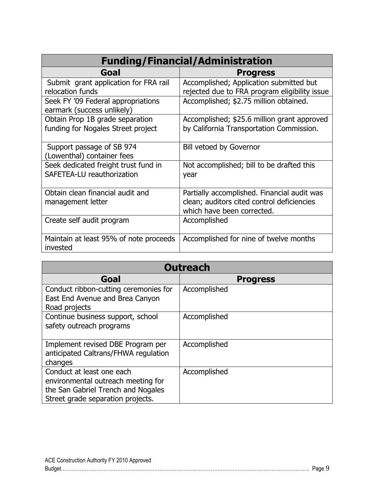| <b>Funding/Financial/Administration</b>                               |                                                                                                                         |  |  |  |
|-----------------------------------------------------------------------|-------------------------------------------------------------------------------------------------------------------------|--|--|--|
| Goal                                                                  | <b>Progress</b>                                                                                                         |  |  |  |
| Submit grant application for FRA rail<br>relocation funds             | Accomplished; Application submitted but<br>rejected due to FRA program eligibility issue                                |  |  |  |
| Seek FY '09 Federal appropriations<br>earmark (success unlikely)      | Accomplished; \$2.75 million obtained.                                                                                  |  |  |  |
| Obtain Prop 1B grade separation<br>funding for Nogales Street project | Accomplished; \$25.6 million grant approved<br>by California Transportation Commission.                                 |  |  |  |
| Support passage of SB 974<br>(Lowenthal) container fees               | <b>Bill vetoed by Governor</b>                                                                                          |  |  |  |
| Seek dedicated freight trust fund in<br>SAFETEA-LU reauthorization    | Not accomplished; bill to be drafted this<br>year                                                                       |  |  |  |
| Obtain clean financial audit and<br>management letter                 | Partially accomplished. Financial audit was<br>clean; auditors cited control deficiencies<br>which have been corrected. |  |  |  |
| Create self audit program                                             | Accomplished                                                                                                            |  |  |  |
| Maintain at least 95% of note proceeds<br>invested                    | Accomplished for nine of twelve months                                                                                  |  |  |  |

| <b>Outreach</b>                                                                                                                            |                 |  |  |  |
|--------------------------------------------------------------------------------------------------------------------------------------------|-----------------|--|--|--|
| Goal                                                                                                                                       | <b>Progress</b> |  |  |  |
| Conduct ribbon-cutting ceremonies for<br>East End Avenue and Brea Canyon<br>Road projects                                                  | Accomplished    |  |  |  |
| Continue business support, school<br>safety outreach programs                                                                              | Accomplished    |  |  |  |
| Implement revised DBE Program per<br>anticipated Caltrans/FHWA regulation<br>changes                                                       | Accomplished    |  |  |  |
| Conduct at least one each<br>environmental outreach meeting for<br>the San Gabriel Trench and Nogales<br>Street grade separation projects. | Accomplished    |  |  |  |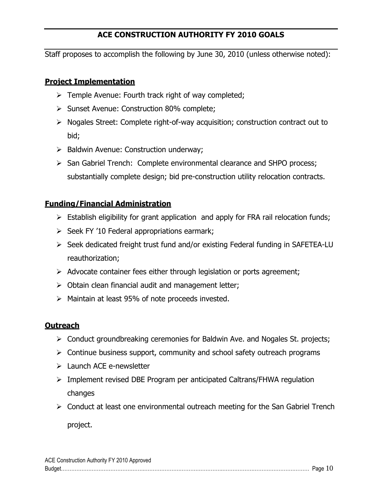# **ACE CONSTRUCTION AUTHORITY FY 2010 GOALS**

Staff proposes to accomplish the following by June 30, 2010 (unless otherwise noted):

### **Project Implementation**

- $\triangleright$  Temple Avenue: Fourth track right of way completed;
- $\triangleright$  Sunset Avenue: Construction 80% complete;
- $\triangleright$  Nogales Street: Complete right-of-way acquisition; construction contract out to bid;
- $\triangleright$  Baldwin Avenue: Construction underway;
- $\triangleright$  San Gabriel Trench: Complete environmental clearance and SHPO process; substantially complete design; bid pre-construction utility relocation contracts.

# **Funding/Financial Administration**

- $\triangleright$  Establish eligibility for grant application and apply for FRA rail relocation funds;
- $\triangleright$  Seek FY '10 Federal appropriations earmark;
- $\triangleright$  Seek dedicated freight trust fund and/or existing Federal funding in SAFETEA-LU reauthorization;
- $\triangleright$  Advocate container fees either through legislation or ports agreement;
- $\triangleright$  Obtain clean financial audit and management letter;
- $\triangleright$  Maintain at least 95% of note proceeds invested.

#### **Outreach**

- $\triangleright$  Conduct groundbreaking ceremonies for Baldwin Ave. and Nogales St. projects;
- $\triangleright$  Continue business support, community and school safety outreach programs
- $\triangleright$  Launch ACE e-newsletter
- $\triangleright$  Implement revised DBE Program per anticipated Caltrans/FHWA regulation changes
- $\triangleright$  Conduct at least one environmental outreach meeting for the San Gabriel Trench

project.

| ACE Construction Authority FY 2010 Approved |  |
|---------------------------------------------|--|
|                                             |  |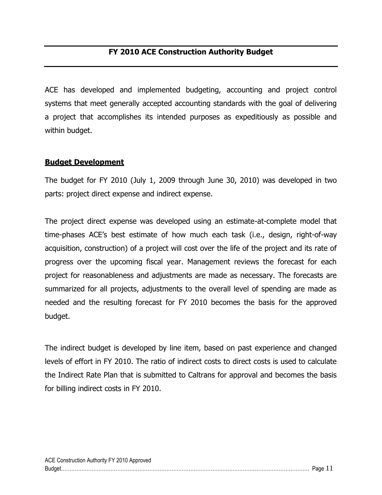ACE has developed and implemented budgeting, accounting and project control systems that meet generally accepted accounting standards with the goal of delivering a project that accomplishes its intended purposes as expeditiously as possible and within budget.

## **Budget Development**

The budget for FY 2010 (July 1, 2009 through June 30, 2010) was developed in two parts: project direct expense and indirect expense.

The project direct expense was developed using an estimate-at-complete model that time-phases ACE"s best estimate of how much each task (i.e., design, right-of-way acquisition, construction) of a project will cost over the life of the project and its rate of progress over the upcoming fiscal year. Management reviews the forecast for each project for reasonableness and adjustments are made as necessary. The forecasts are summarized for all projects, adjustments to the overall level of spending are made as needed and the resulting forecast for FY 2010 becomes the basis for the approved budget.

The indirect budget is developed by line item, based on past experience and changed levels of effort in FY 2010. The ratio of indirect costs to direct costs is used to calculate the Indirect Rate Plan that is submitted to Caltrans for approval and becomes the basis for billing indirect costs in FY 2010.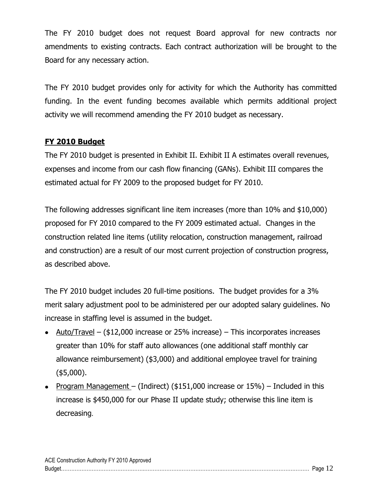The FY 2010 budget does not request Board approval for new contracts nor amendments to existing contracts. Each contract authorization will be brought to the Board for any necessary action.

The FY 2010 budget provides only for activity for which the Authority has committed funding. In the event funding becomes available which permits additional project activity we will recommend amending the FY 2010 budget as necessary.

# **FY 2010 Budget**

The FY 2010 budget is presented in Exhibit II. Exhibit II A estimates overall revenues, expenses and income from our cash flow financing (GANs). Exhibit III compares the estimated actual for FY 2009 to the proposed budget for FY 2010.

The following addresses significant line item increases (more than 10% and \$10,000) proposed for FY 2010 compared to the FY 2009 estimated actual. Changes in the construction related line items (utility relocation, construction management, railroad and construction) are a result of our most current projection of construction progress, as described above.

The FY 2010 budget includes 20 full-time positions. The budget provides for a 3% merit salary adjustment pool to be administered per our adopted salary guidelines. No increase in staffing level is assumed in the budget.

- Auto/Travel  $($12,000$$  increase or 25% increase) This incorporates increases greater than 10% for staff auto allowances (one additional staff monthly car allowance reimbursement) (\$3,000) and additional employee travel for training (\$5,000).
- Program Management (Indirect) (\$151,000 increase or  $15\%$ ) Included in this increase is \$450,000 for our Phase II update study; otherwise this line item is decreasing.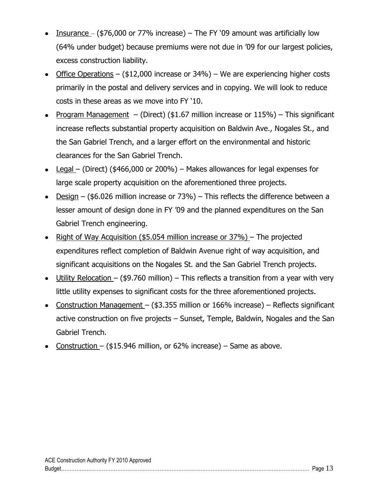- Insurance ( $$76,000$  or 77% increase) The FY '09 amount was artificially low (64% under budget) because premiums were not due in "09 for our largest policies, excess construction liability.
- Office Operations (\$12,000 increase or 34%) We are experiencing higher costs primarily in the postal and delivery services and in copying. We will look to reduce costs in these areas as we move into FY "10.
- Program Management (Direct) (\$1.67 million increase or  $115\%$ ) This significant increase reflects substantial property acquisition on Baldwin Ave., Nogales St., and the San Gabriel Trench, and a larger effort on the environmental and historic clearances for the San Gabriel Trench.
- Legal (Direct) (\$466,000 or 200%) Makes allowances for legal expenses for large scale property acquisition on the aforementioned three projects.
- Design (\$6.026 million increase or  $73\%$ ) This reflects the difference between a lesser amount of design done in FY "09 and the planned expenditures on the San Gabriel Trench engineering.
- Right of Way Acquisition (\$5.054 million increase or  $37\%$ ) The projected expenditures reflect completion of Baldwin Avenue right of way acquisition, and significant acquisitions on the Nogales St. and the San Gabriel Trench projects.
- Utility Relocation (\$9.760 million) This reflects a transition from a year with very little utility expenses to significant costs for the three aforementioned projects.
- Construction Management (\$3.355 million or 166% increase) Reflects significant active construction on five projects – Sunset, Temple, Baldwin, Nogales and the San Gabriel Trench.
- Construction (\$15.946 million, or 62% increase) Same as above.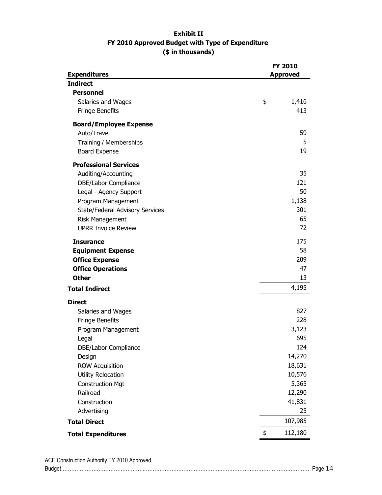#### **Exhibit II FY 2010 Approved Budget with Type of Expenditure (\$ in thousands)**

|                                        | <b>FY 2010</b>  |         |  |
|----------------------------------------|-----------------|---------|--|
| <b>Expenditures</b><br><b>Indirect</b> | <b>Approved</b> |         |  |
| <b>Personnel</b>                       |                 |         |  |
| Salaries and Wages                     | \$              | 1,416   |  |
| Fringe Benefits                        |                 | 413     |  |
|                                        |                 |         |  |
| <b>Board/Employee Expense</b>          |                 |         |  |
| Auto/Travel                            |                 | 59      |  |
| Training / Memberships                 |                 | 5       |  |
| <b>Board Expense</b>                   |                 | 19      |  |
| <b>Professional Services</b>           |                 |         |  |
| Auditing/Accounting                    |                 | 35      |  |
| DBE/Labor Compliance                   |                 | 121     |  |
| Legal - Agency Support                 |                 | 50      |  |
| Program Management                     |                 | 1,138   |  |
| State/Federal Advisory Services        |                 | 301     |  |
| Risk Management                        |                 | 65      |  |
| <b>UPRR Invoice Review</b>             |                 | 72      |  |
| <b>Insurance</b>                       |                 | 175     |  |
| <b>Equipment Expense</b>               |                 | 58      |  |
| <b>Office Expense</b>                  |                 | 209     |  |
| <b>Office Operations</b>               |                 | 47      |  |
| <b>Other</b>                           |                 | 13      |  |
| <b>Total Indirect</b>                  |                 | 4,195   |  |
| <b>Direct</b>                          |                 |         |  |
| Salaries and Wages                     |                 | 827     |  |
| Fringe Benefits                        |                 | 228     |  |
| Program Management                     |                 | 3,123   |  |
| Legal                                  |                 | 695     |  |
| DBE/Labor Compliance                   |                 | 124     |  |
| Design                                 |                 | 14,270  |  |
| <b>ROW Acquisition</b>                 |                 | 18,631  |  |
| Utility Relocation                     |                 | 10,576  |  |
| <b>Construction Mgt</b>                |                 | 5,365   |  |
| Railroad                               |                 | 12,290  |  |
| Construction                           |                 | 41,831  |  |
| Advertising                            |                 | 25      |  |
| <b>Total Direct</b>                    |                 | 107,985 |  |
| <b>Total Expenditures</b>              | \$              | 112,180 |  |

ACE Construction Authority FY 2010 Approved Budget………………………………………….……………………………………….…………………………………………… Page 14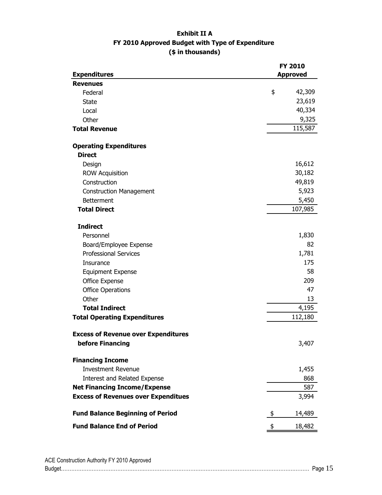#### **Exhibit II A FY 2010 Approved Budget with Type of Expenditure (\$ in thousands)**

|                                                                | FY 2010         |  |  |
|----------------------------------------------------------------|-----------------|--|--|
| <b>Expenditures</b>                                            | <b>Approved</b> |  |  |
| <b>Revenues</b>                                                | \$<br>42,309    |  |  |
| Federal                                                        | 23,619          |  |  |
| <b>State</b>                                                   | 40,334          |  |  |
| Local                                                          | 9,325           |  |  |
| Other                                                          | 115,587         |  |  |
| <b>Total Revenue</b>                                           |                 |  |  |
| <b>Operating Expenditures</b>                                  |                 |  |  |
| <b>Direct</b>                                                  |                 |  |  |
| Design                                                         | 16,612          |  |  |
| <b>ROW Acquisition</b>                                         | 30,182          |  |  |
| Construction                                                   | 49,819          |  |  |
| <b>Construction Management</b>                                 | 5,923           |  |  |
| <b>Betterment</b>                                              | 5,450           |  |  |
| <b>Total Direct</b>                                            | 107,985         |  |  |
|                                                                |                 |  |  |
| <b>Indirect</b>                                                |                 |  |  |
| Personnel                                                      | 1,830           |  |  |
| Board/Employee Expense                                         | 82              |  |  |
| <b>Professional Services</b>                                   | 1,781           |  |  |
| Insurance                                                      | 175             |  |  |
| <b>Equipment Expense</b>                                       | 58              |  |  |
| Office Expense                                                 | 209             |  |  |
| <b>Office Operations</b>                                       | 47              |  |  |
| Other                                                          | 13              |  |  |
| <b>Total Indirect</b>                                          | 4,195           |  |  |
| <b>Total Operating Expenditures</b>                            | 112,180         |  |  |
|                                                                |                 |  |  |
| <b>Excess of Revenue over Expenditures</b><br>before Financing |                 |  |  |
|                                                                | 3,407           |  |  |
| <b>Financing Income</b>                                        |                 |  |  |
| <b>Investment Revenue</b>                                      | 1,455           |  |  |
| Interest and Related Expense                                   | 868             |  |  |
| <b>Net Financing Income/Expense</b>                            | 587             |  |  |
| <b>Excess of Revenues over Expenditues</b>                     | 3,994           |  |  |
| <b>Fund Balance Beginning of Period</b>                        | 14,489<br>\$    |  |  |
| <b>Fund Balance End of Period</b>                              | 18,482<br>\$    |  |  |

| ACE Construction Authority FY 2010 Approved |  |
|---------------------------------------------|--|
|                                             |  |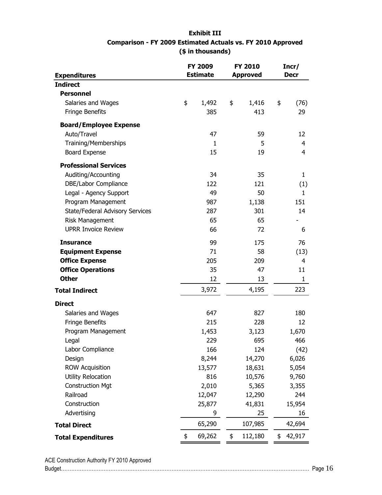#### **Exhibit III Comparison - FY 2009 Estimated Actuals vs. FY 2010 Approved (\$ in thousands)**

| <b>Expenditures</b>             | FY 2009<br><b>FY 2010</b><br><b>Estimate</b><br><b>Approved</b> |        | Incr/<br><b>Decr</b> |    |              |
|---------------------------------|-----------------------------------------------------------------|--------|----------------------|----|--------------|
| <b>Indirect</b>                 |                                                                 |        |                      |    |              |
| <b>Personnel</b>                |                                                                 |        |                      |    |              |
| Salaries and Wages              | \$                                                              | 1,492  | \$<br>1,416          | \$ | (76)         |
| Fringe Benefits                 |                                                                 | 385    | 413                  |    | 29           |
| <b>Board/Employee Expense</b>   |                                                                 |        |                      |    |              |
| Auto/Travel                     |                                                                 | 47     | 59                   |    | 12           |
| Training/Memberships            |                                                                 | 1      | 5                    |    | 4            |
| <b>Board Expense</b>            |                                                                 | 15     | 19                   |    | 4            |
| <b>Professional Services</b>    |                                                                 |        |                      |    |              |
| Auditing/Accounting             |                                                                 | 34     | 35                   |    | $\mathbf{1}$ |
| DBE/Labor Compliance            |                                                                 | 122    | 121                  |    | (1)          |
| Legal - Agency Support          |                                                                 | 49     | 50                   |    | 1            |
| Program Management              |                                                                 | 987    | 1,138                |    | 151          |
| State/Federal Advisory Services |                                                                 | 287    | 301                  |    | 14           |
| <b>Risk Management</b>          |                                                                 | 65     | 65                   |    |              |
| <b>UPRR Invoice Review</b>      |                                                                 | 66     | 72                   |    | 6            |
| <b>Insurance</b>                |                                                                 | 99     | 175                  |    | 76           |
| <b>Equipment Expense</b>        |                                                                 | 71     | 58                   |    | (13)         |
| <b>Office Expense</b>           |                                                                 | 205    | 209                  |    | 4            |
| <b>Office Operations</b>        |                                                                 | 35     | 47                   |    | 11           |
| <b>Other</b>                    |                                                                 | 12     | 13                   |    | $\mathbf{1}$ |
| <b>Total Indirect</b>           |                                                                 | 3,972  | 4,195                |    | 223          |
| <b>Direct</b>                   |                                                                 |        |                      |    |              |
| Salaries and Wages              |                                                                 | 647    | 827                  |    | 180          |
| Fringe Benefits                 |                                                                 | 215    | 228                  |    | 12           |
| Program Management              |                                                                 | 1,453  | 3,123                |    | 1,670        |
| Legal                           |                                                                 | 229    | 695                  |    | 466          |
| Labor Compliance                |                                                                 | 166    | 124                  |    | (42)         |
| Design                          |                                                                 | 8,244  | 14,270               |    | 6,026        |
| <b>ROW Acquisition</b>          |                                                                 | 13,577 | 18,631               |    | 5,054        |
| <b>Utility Relocation</b>       |                                                                 | 816    | 10,576               |    | 9,760        |
| <b>Construction Mgt</b>         |                                                                 | 2,010  | 5,365                |    | 3,355        |
| Railroad                        |                                                                 | 12,047 | 12,290               |    | 244          |
| Construction                    |                                                                 | 25,877 | 41,831               |    | 15,954       |
| Advertising                     |                                                                 | 9      | 25                   |    | 16           |
| <b>Total Direct</b>             |                                                                 | 65,290 | 107,985              |    | 42,694       |
| <b>Total Expenditures</b>       | \$                                                              | 69,262 | \$<br>112,180        | \$ | 42,917       |

ACE Construction Authority FY 2010 Approved Budget………………………………………….……………………………………….…………………………………………… Page 16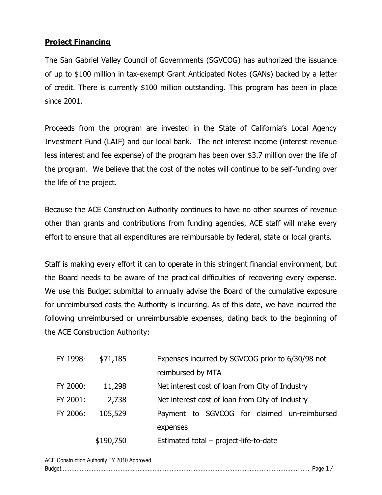## **Project Financing**

The San Gabriel Valley Council of Governments (SGVCOG) has authorized the issuance of up to \$100 million in tax-exempt Grant Anticipated Notes (GANs) backed by a letter of credit. There is currently \$100 million outstanding. This program has been in place since 2001.

Proceeds from the program are invested in the State of California's Local Agency Investment Fund (LAIF) and our local bank. The net interest income (interest revenue less interest and fee expense) of the program has been over \$3.7 million over the life of the program. We believe that the cost of the notes will continue to be self-funding over the life of the project.

Because the ACE Construction Authority continues to have no other sources of revenue other than grants and contributions from funding agencies, ACE staff will make every effort to ensure that all expenditures are reimbursable by federal, state or local grants.

Staff is making every effort it can to operate in this stringent financial environment, but the Board needs to be aware of the practical difficulties of recovering every expense. We use this Budget submittal to annually advise the Board of the cumulative exposure for unreimbursed costs the Authority is incurring. As of this date, we have incurred the following unreimbursed or unreimbursable expenses, dating back to the beginning of the ACE Construction Authority:

| FY 1998: | \$71,185  | Expenses incurred by SGVCOG prior to 6/30/98 not |
|----------|-----------|--------------------------------------------------|
|          |           | reimbursed by MTA                                |
| FY 2000: | 11,298    | Net interest cost of loan from City of Industry  |
| FY 2001: | 2,738     | Net interest cost of loan from City of Industry  |
| FY 2006: | 105,529   | Payment to SGVCOG for claimed un-reimbursed      |
|          |           | expenses                                         |
|          | \$190,750 | Estimated total – project-life-to-date           |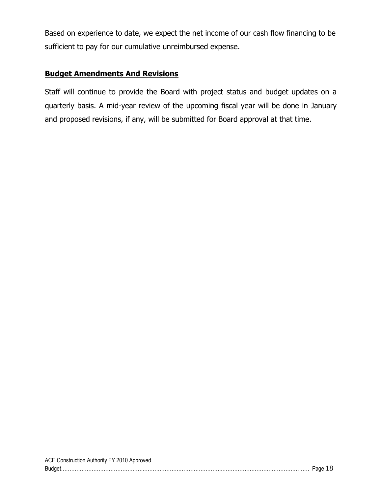Based on experience to date, we expect the net income of our cash flow financing to be sufficient to pay for our cumulative unreimbursed expense.

# **Budget Amendments And Revisions**

Staff will continue to provide the Board with project status and budget updates on a quarterly basis. A mid-year review of the upcoming fiscal year will be done in January and proposed revisions, if any, will be submitted for Board approval at that time.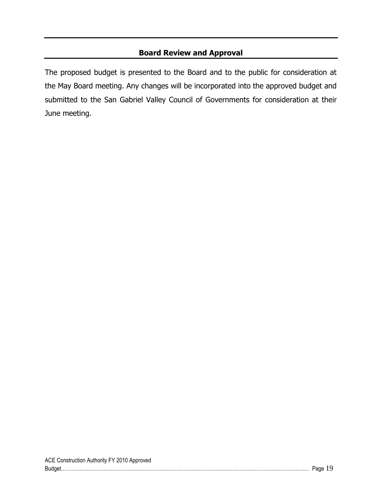# **Board Review and Approval**

The proposed budget is presented to the Board and to the public for consideration at the May Board meeting. Any changes will be incorporated into the approved budget and submitted to the San Gabriel Valley Council of Governments for consideration at their June meeting.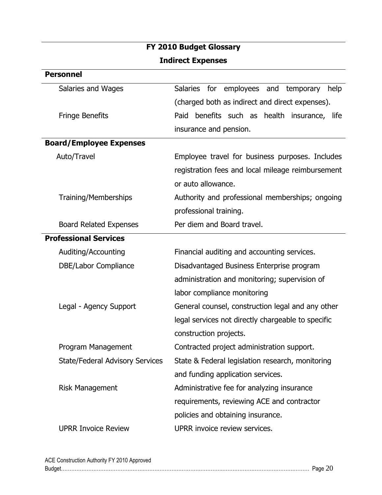| <b>Indirect Expenses</b>               |                                                           |  |  |  |
|----------------------------------------|-----------------------------------------------------------|--|--|--|
| <b>Personnel</b>                       |                                                           |  |  |  |
| Salaries and Wages                     | <b>Salaries</b><br>for employees and<br>temporary<br>help |  |  |  |
|                                        | (charged both as indirect and direct expenses).           |  |  |  |
| <b>Fringe Benefits</b>                 | benefits such as health insurance, life<br>Paid           |  |  |  |
|                                        | insurance and pension.                                    |  |  |  |
| <b>Board/Employee Expenses</b>         |                                                           |  |  |  |
| Auto/Travel                            | Employee travel for business purposes. Includes           |  |  |  |
|                                        | registration fees and local mileage reimbursement         |  |  |  |
|                                        | or auto allowance.                                        |  |  |  |
| Training/Memberships                   | Authority and professional memberships; ongoing           |  |  |  |
|                                        | professional training.                                    |  |  |  |
| <b>Board Related Expenses</b>          | Per diem and Board travel.                                |  |  |  |
| <b>Professional Services</b>           |                                                           |  |  |  |
| Auditing/Accounting                    | Financial auditing and accounting services.               |  |  |  |
| DBE/Labor Compliance                   | Disadvantaged Business Enterprise program                 |  |  |  |
|                                        | administration and monitoring; supervision of             |  |  |  |
|                                        | labor compliance monitoring                               |  |  |  |
| Legal - Agency Support                 | General counsel, construction legal and any other         |  |  |  |
|                                        | legal services not directly chargeable to specific        |  |  |  |
|                                        | construction projects.                                    |  |  |  |
| Program Management                     | Contracted project administration support.                |  |  |  |
| <b>State/Federal Advisory Services</b> | State & Federal legislation research, monitoring          |  |  |  |
|                                        | and funding application services.                         |  |  |  |
| <b>Risk Management</b>                 | Administrative fee for analyzing insurance                |  |  |  |
|                                        | requirements, reviewing ACE and contractor                |  |  |  |
|                                        | policies and obtaining insurance.                         |  |  |  |
| <b>UPRR Invoice Review</b>             | UPRR invoice review services.                             |  |  |  |

# **FY 2010 Budget Glossary**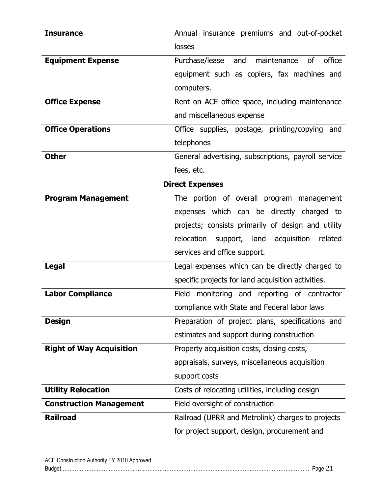| <b>Insurance</b>                | Annual insurance premiums and out-of-pocket           |
|---------------------------------|-------------------------------------------------------|
|                                 | losses                                                |
| <b>Equipment Expense</b>        | office<br>maintenance<br>of<br>Purchase/lease and     |
|                                 | equipment such as copiers, fax machines and           |
|                                 | computers.                                            |
| <b>Office Expense</b>           | Rent on ACE office space, including maintenance       |
|                                 | and miscellaneous expense                             |
| <b>Office Operations</b>        | Office supplies, postage, printing/copying<br>and     |
|                                 | telephones                                            |
| <b>Other</b>                    | General advertising, subscriptions, payroll service   |
|                                 | fees, etc.                                            |
|                                 | <b>Direct Expenses</b>                                |
| <b>Program Management</b>       | The portion of overall program management             |
|                                 | expenses which can be directly charged to             |
|                                 | projects; consists primarily of design and utility    |
|                                 | relocation<br>acquisition<br>support, land<br>related |
|                                 | services and office support.                          |
| <b>Legal</b>                    | Legal expenses which can be directly charged to       |
|                                 | specific projects for land acquisition activities.    |
| <b>Labor Compliance</b>         | Field monitoring and reporting of contractor          |
|                                 | compliance with State and Federal labor laws          |
| <b>Design</b>                   | Preparation of project plans, specifications and      |
|                                 | estimates and support during construction             |
| <b>Right of Way Acquisition</b> | Property acquisition costs, closing costs,            |
|                                 | appraisals, surveys, miscellaneous acquisition        |
|                                 | support costs                                         |
| <b>Utility Relocation</b>       | Costs of relocating utilities, including design       |
| <b>Construction Management</b>  | Field oversight of construction                       |
| <b>Railroad</b>                 | Railroad (UPRR and Metrolink) charges to projects     |
|                                 | for project support, design, procurement and          |